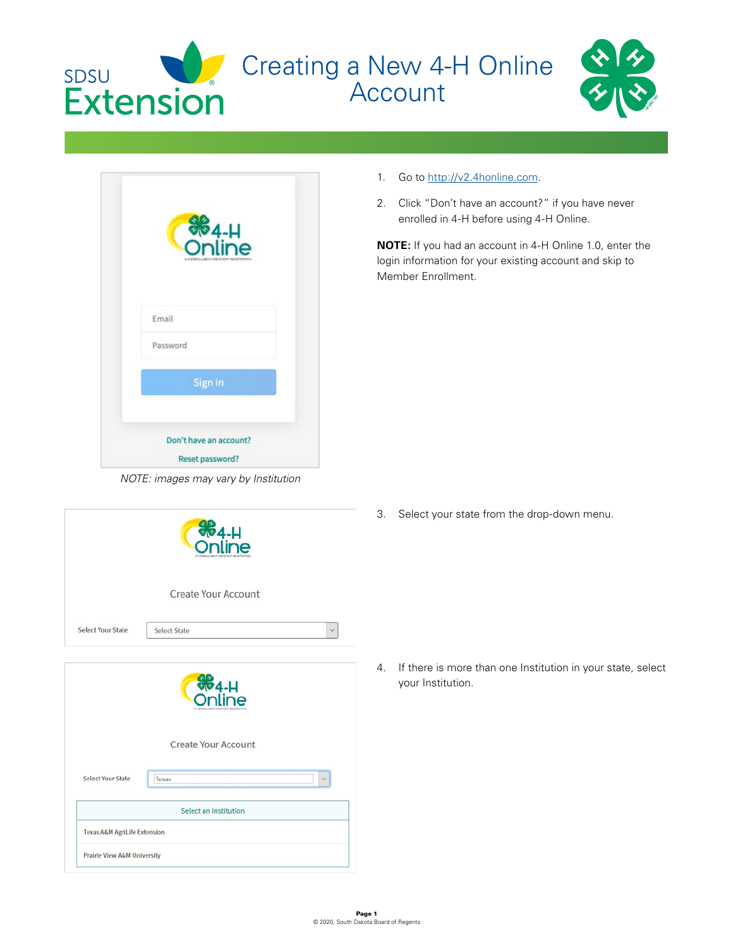





*NOTE: images may vary by Institution*

|                              | <b>SE4-H</b>                        |
|------------------------------|-------------------------------------|
|                              | <b>Create Your Account</b>          |
| <b>Select Your State</b>     | <b>Select State</b><br>$\checkmark$ |
|                              | <b>SP4-H</b><br>Ä                   |
|                              | <b>Create Your Account</b>          |
| <b>Select Your State</b>     | Texas                               |
|                              | <b>Select an Institution</b>        |
| Texas A&M AgriLife Extension |                                     |
| Prairie View A&M University  |                                     |

- 1. Go to [http://v2.4honline.com.](http://v2.4honline.com)
- 2. Click "Don't have an account?" if you have never enrolled in 4-H before using 4-H Online.

**NOTE:** If you had an account in 4-H Online 1.0, enter the login information for your existing account and skip to Member Enrollment.

3. Select your state from the drop-down menu.

4. If there is more than one Institution in your state, select your Institution.